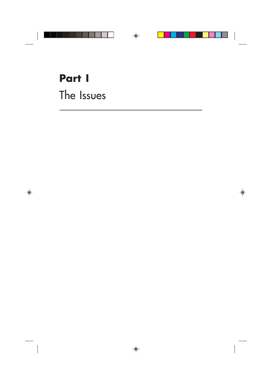# **Part I** The Issues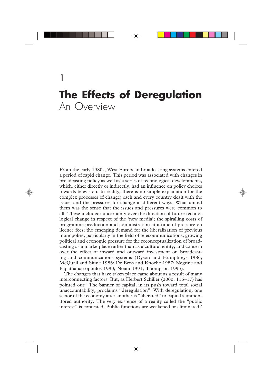# 1 **The Effects of Deregulation** An Overview

From the early 1980s, West European broadcasting systems entered a period of rapid change. This period was associated with changes in broadcasting policy as well as a series of technological developments, which, either directly or indirectly, had an influence on policy choices towards television. In reality, there is no simple explanation for the complex processes of change; each and every country dealt with the issues and the pressures for change in different ways. What united them was the sense that the issues and pressures were common to all. These included: uncertainty over the direction of future technological change in respect of the 'new media'; the spiralling costs of programme production and administration at a time of pressure on licence fees; the emerging demand for the liberalization of previous monopolies, particularly in the field of telecommunications; growing political and economic pressure for the reconceptualization of broadcasting as a marketplace rather than as a cultural entity; and concern over the effect of inward and outward investment on broadcasting and communications systems (Dyson and Humphreys 1986; McQuail and Siune 1986; De Bens and Knoche 1987; Negrine and Papathanassopoulos 1990; Noam 1991; Thompson 1995).

The changes that have taken place came about as a result of many interconnecting factors. But, as Herbert Schiller (2000: 116–17) has pointed out: 'The banner of capital, in its push toward total social unaccountability, proclaims "deregulation". With deregulation, one sector of the economy after another is "liberated" to capital's unmonitored authority. The very existence of a reality called the "public interest" is contested. Public functions are weakened or eliminated.'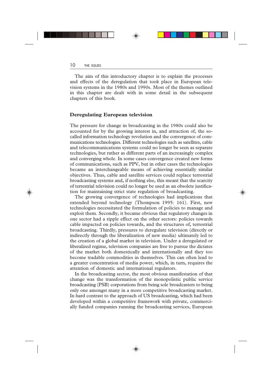The aim of this introductory chapter is to explain the processes and effects of the deregulation that took place in European television systems in the 1980s and 1990s. Most of the themes outlined in this chapter are dealt with in some detail in the subsequent chapters of this book.

#### **Deregulating European television**

The pressure for change in broadcasting in the 1980s could also be accounted for by the growing interest in, and attraction of, the socalled information technology revolution and the convergence of communications technologies. Different technologies such as satellites, cable and telecommunications systems could no longer be seen as separate technologies, but rather as different parts of an increasingly complex and converging whole. In some cases convergence created new forms of communications, such as PPV, but in other cases the technologies became an interchangeable means of achieving essentially similar objectives. Thus, cable and satellite services could replace terrestrial broadcasting systems and, if nothing else, this meant that the scarcity of terrestrial television could no longer be used as an obsolete justification for maintaining strict state regulation of broadcasting.

The growing convergence of technologies had implications that extended beyond technology (Thompson 1995: 161). First, new technologies necessitated the formulation of policies to manage and exploit them. Secondly, it became obvious that regulatory changes in one sector had a ripple effect on the other sectors: policies towards cable impacted on policies towards, and the structures of, terrestrial broadcasting. Thirdly, pressures to deregulate television (directly or indirectly through the liberalization of new media) ultimately led to the creation of a global market in television. Under a deregulated or liberalized regime, television companies are free to pursue the dictates of the market both domestically and internationally and they too become tradable commodities in themselves. This can often lead to a greater concentration of media power, which, in turn, requires the attention of domestic and international regulators.

In the broadcasting sector, the most obvious manifestation of that change was the transformation of the monopolistic public service broadcasting (PSB) corporations from being sole broadcasters to being only one amongst many in a more competitive broadcasting market. In hard contrast to the approach of US broadcasting, which had been developed within a competitive framework with private, commercially funded companies running the broadcasting services, European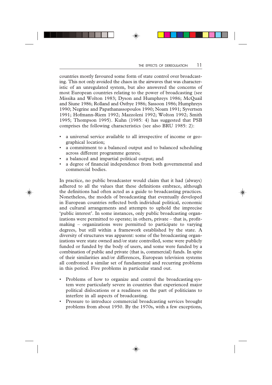countries mostly favoured some form of state control over broadcasting. This not only avoided the chaos in the airwaves that was characteristic of an unregulated system, but also answered the concerns of most European countries relating to the power of broadcasting (see Missika and Wolton 1983; Dyson and Humphreys 1986; McQuail and Siune 1986; Rolland and Ostbye 1986; Sassoon 1986; Humphreys 1990; Negrine and Papathanassopoulos 1990; Noam 1991; Syvertsen 1991; Hofmann-Riem 1992; Mazzoleni 1992; Wolton 1992; Smith 1995; Thompson 1995). Kuhn (1985: 4) has suggested that PSB comprises the following characteristics (see also BRU 1985: 2):

- a universal service available to all irrespective of income or geographical location;
- a commitment to a balanced output and to balanced scheduling across different programme genres;
- a balanced and impartial political output; and
- a degree of financial independence from both governmental and commercial bodies.

In practice, no public broadcaster would claim that it had (always) adhered to all the values that these definitions embrace, although the definitions had often acted as a guide to broadcasting practices. Nonetheless, the models of broadcasting that eventually developed in European countries reflected both individual political, economic and cultural arrangements and attempts to uphold the imprecise 'public interest'. In some instances, only public broadcasting organizations were permitted to operate; in others, private – that is, profitmaking – organizations were permitted to participate to varying degrees, but still within a framework established by the state. A diversity of structures was apparent: some of the broadcasting organizations were state owned and/or state controlled, some were publicly funded or funded by the body of users, and some were funded by a combination of public and private (that is, commercial) funds. In spite of their similarities and/or differences, European television systems all confronted a similar set of fundamental and recurring problems in this period. Five problems in particular stand out.

- Problems of how to organize and control the broadcasting system were particularly severe in countries that experienced major political dislocations or a readiness on the part of politicians to interfere in all aspects of broadcasting.
- Pressure to introduce commercial broadcasting services brought problems from about 1950. By the 1970s, with a few exceptions,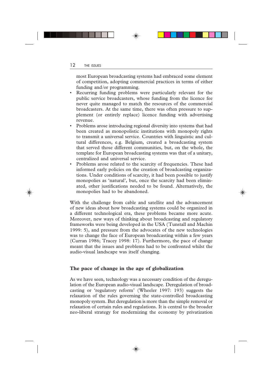most European broadcasting systems had embraced some element of competition, adopting commercial practices in terms of either funding and/or programming.

- Recurring funding problems were particularly relevant for the public service broadcasters, whose funding from the licence fee never quite managed to match the resources of the commercial broadcasters. At the same time, there was often pressure to supplement (or entirely replace) licence funding with advertising revenue.
- Problems arose introducing regional diversity into systems that had been created as monopolistic institutions with monopoly rights to transmit a universal service. Countries with linguistic and cultural differences, e.g. Belgium, created a broadcasting system that served those different communities, but, on the whole, the template for European broadcasting systems was that of a unitary, centralized and universal service.
- Problems arose related to the scarcity of frequencies. These had informed early policies on the creation of broadcasting organizations. Under conditions of scarcity, it had been possible to justify monopolies as 'natural', but, once the scarcity had been eliminated, other justifications needed to be found. Alternatively, the monopolies had to be abandoned.

With the challenge from cable and satellite and the advancement of new ideas about how broadcasting systems could be organized in a different technological era, these problems became more acute. Moreover, new ways of thinking about broadcasting and regulatory frameworks were being developed in the USA (Tunstall and Machin 1999: 5), and pressure from the advocates of the new technologies was to change the face of European broadcasting within a few years (Curran 1986; Tracey 1998: 17). Furthermore, the pace of change meant that the issues and problems had to be confronted whilst the audio-visual landscape was itself changing.

# **The pace of change in the age of globalization**

As we have seen, technology was a necessary condition of the deregulation of the European audio-visual landscape. Deregulation of broadcasting or 'regulatory reform' (Wheeler 1997: 193) suggests the relaxation of the rules governing the state-controlled broadcasting monopoly system. But deregulation is more than the simple removal or relaxation of certain rules and regulations. It is central to the broader neo-liberal strategy for modernizing the economy by privatization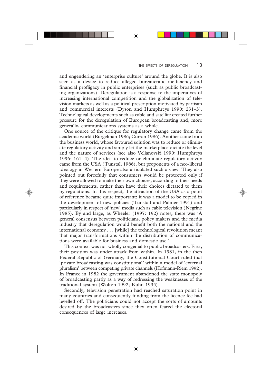and engendering an 'enterprise culture' around the globe. It is also seen as a device to reduce alleged bureaucratic inefficiency and financial profligacy in public enterprises (such as public broadcasting organizations). Deregulation is a response to the imperatives of increasing international competition and the globalization of television markets as well as a political prescription motivated by partisan and commercial interests (Dyson and Humphreys 1990: 231–3). Technological developments such as cable and satellite created further pressure for the deregulation of European broadcasting and, more generally, communications systems as a whole.

One source of the critique for regulatory change came from the academic world (Burgelman 1986; Curran 1986). Another came from the business world, whose favoured solution was to reduce or eliminate regulatory activity and simply let the marketplace dictate the level and the nature of services (see also Veljanovski 1990; Humphreys 1996: 161–4). The idea to reduce or eliminate regulatory activity came from the USA (Tunstall 1986), but proponents of a neo-liberal ideology in Western Europe also articulated such a view. They also pointed out forcefully that consumers would be protected only if they were allowed to make their own choices, according to their needs and requirements, rather than have their choices dictated to them by regulations. In this respect, the attraction of the USA as a point of reference became quite important; it was a model to be copied in the development of new policies (Tunstall and Palmer 1991) and particularly in respect of 'new' media such as cable television (Negrine 1985). By and large, as Wheeler (1997: 192) notes, there was 'A general consensus between politicians, policy makers and the media industry that deregulation would benefit both the national and the international economy . . . [while] the technological revolution meant that major transformations within the distribution of communications were available for business and domestic use.'

This context was not wholly congenial to public broadcasters. First, their position was under attack from within. In 1981, in the then Federal Republic of Germany, the Constitutional Court ruled that 'private broadcasting was constitutional' within a model of 'external pluralism' between competing private channels (Hofmann-Riem 1992). In France in 1982 the government abandoned the state monopoly of broadcasting partly as a way of redressing the weaknesses of the traditional system (Wolton 1992; Kuhn 1995).

Secondly, television penetration had reached saturation point in many countries and consequently funding from the licence fee had levelled off. The politicians could not accept the sorts of amounts desired by the broadcasters since they often feared the electoral consequences of large increases.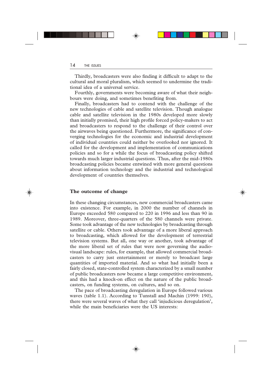Thirdly, broadcasters were also finding it difficult to adapt to the cultural and moral pluralism, which seemed to undermine the traditional idea of a universal service.

Fourthly, governments were becoming aware of what their neighbours were doing, and sometimes benefiting from.

Finally, broadcasters had to contend with the challenge of the new technologies of cable and satellite television. Though analogue cable and satellite television in the 1980s developed more slowly than initially promised, their high profile forced policy-makers to act and broadcasters to respond to the challenge of their control over the airwaves being questioned. Furthermore, the significance of converging technologies for the economic and industrial development of individual countries could neither be overlooked nor ignored. It called for the development and implementation of communications policies and so for a while the focus of broadcasting policy shifted towards much larger industrial questions. Thus, after the mid-1980s broadcasting policies became entwined with more general questions about information technology and the industrial and technological development of countries themselves.

#### **The outcome of change**

In these changing circumstances, new commercial broadcasters came into existence. For example, in 2000 the number of channels in Europe exceeded 580 compared to 220 in 1996 and less than 90 in 1989. Moreover, three-quarters of the 580 channels were private. Some took advantage of the new technologies by broadcasting through satellite or cable. Others took advantage of a more liberal approach to broadcasting, which allowed for the development of terrestrial television systems. But all, one way or another, took advantage of the more liberal set of rules that were now governing the audiovisual landscape: rules, for example, that allowed commercial broadcasters to carry just entertainment or merely to broadcast large quantities of imported material. And so what had initially been a fairly closed, state-controlled system characterized by a small number of public broadcasters now became a large competitive environment, and this had a knock-on effect on the nature of the public broadcasters, on funding systems, on cultures, and so on.

The pace of broadcasting deregulation in Europe followed various waves (table 1.1). According to Tunstall and Machin (1999: 190), there were several waves of what they call 'injudicious deregulation', while the main beneficiaries were the US interests: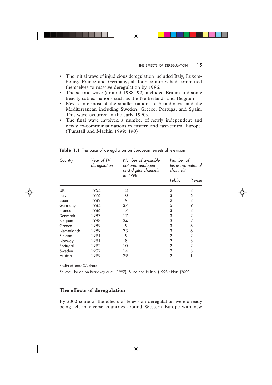- The initial wave of injudicious deregulation included Italy, Luxembourg, France and Germany; all four countries had committed themselves to massive deregulation by 1986.
- The second wave (around 1988–92) included Britain and some heavily cabled nations such as the Netherlands and Belgium.
- Next came most of the smaller nations of Scandinavia and the Mediterranean including Sweden, Greece, Portugal and Spain. This wave occurred in the early 1990s.
- The final wave involved a number of newly independent and newly ex-communist nations in eastern and east-central Europe. (Tunstall and Machin 1999: 190)

| Country            | Year of TV<br>deregulation | Number of available<br>national analogue<br>and digital channels<br>in 1998 | Number of<br>terrestrial national<br>channels <sup>a</sup> |                |
|--------------------|----------------------------|-----------------------------------------------------------------------------|------------------------------------------------------------|----------------|
|                    |                            |                                                                             | Public                                                     | Private        |
| <b>UK</b>          | 1954                       | 13                                                                          | 2                                                          | 3              |
| <b>Italy</b>       | 1976                       | 10                                                                          | 3                                                          | 6              |
| Spain              | 1982                       | 9                                                                           | 2                                                          | 3              |
| Germany            | 1984                       | 37                                                                          | 5                                                          | 9              |
| France             | 1986                       | 17                                                                          | 3                                                          | 3              |
| Denmark            | 1987                       | 17                                                                          | 3                                                          | $\overline{2}$ |
| Belgium            | 1988                       | 34                                                                          | 3                                                          | 2              |
| Greece             | 1989                       | 9                                                                           | 3                                                          | 6              |
| <b>Netherlands</b> | 1989                       | 33                                                                          | 3                                                          | 6              |
| Finland            | 1991                       | 9                                                                           | $\overline{2}$                                             | 2              |
| Norway             | 1991                       | 8                                                                           | $\overline{2}$                                             | 3              |
| Portugal           | 1992                       | 10                                                                          | $\overline{2}$                                             | 2              |
| Sweden             | 1992                       | 14                                                                          | $\overline{2}$                                             | 3              |
| Austria            | 1999                       | 29                                                                          | 2                                                          |                |

**Table 1.1** The pace of deregulation on European terrestrial television

<sup>a</sup> with at least 3% share.

Sources: based on Beardsley et al. (1997); Siune and Hultén, (1998); Idate (2000).

#### **The effects of deregulation**

By 2000 some of the effects of television deregulation were already being felt in diverse countries around Western Europe with new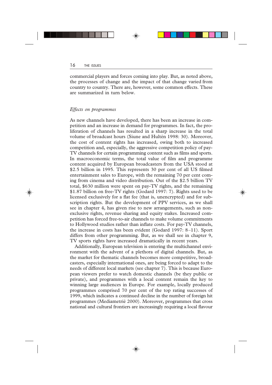commercial players and forces coming into play. But, as noted above, the processes of change and the impact of that change varied from country to country. There are, however, some common effects. These are summarized in turn below.

#### *Effects on programmes*

As new channels have developed, there has been an increase in competition and an increase in demand for programmes. In fact, the proliferation of channels has resulted in a sharp increase in the total volume of broadcast hours (Siune and Hultén 1998: 30). Moreover, the cost of content rights has increased, owing both to increased competition and, especially, the aggressive competition policy of pay-TV channels for certain programming content such as films and sports. In macroeconomic terms, the total value of film and programme content acquired by European broadcasters from the USA stood at \$2.5 billion in 1995. This represents 30 per cent of all US filmed entertainment sales to Europe, with the remaining 70 per cent coming from cinema and video distribution. Out of the \$2.5 billion TV total, \$630 million were spent on pay-TV rights, and the remaining \$1.87 billion on free-TV rights (Godard 1997: 7). Rights used to be licensed exclusively for a flat fee (that is, unencrypted) and for subscription rights. But the development of PPV services, as we shall see in chapter 4, has given rise to new arrangements, such as nonexclusive rights, revenue sharing and equity stakes. Increased competition has forced free-to-air channels to make volume commitments to Hollywood studios rather than inflate costs. For pay-TV channels, the increase in costs has been evident (Godard 1997: 8–11). Sport differs from other programming. But, as we shall see in chapter 9, TV sports rights have increased dramatically in recent years.

Additionally, European television is entering the multichannel environment with the advent of a plethora of digital channels. But, as the market for thematic channels becomes more competitive, broadcasters, especially international ones, are being forced to adapt to the needs of different local markets (see chapter 7). This is because European viewers prefer to watch domestic channels (be they public or private), and programmes with a local content remain the key to winning large audiences in Europe. For example, locally produced programmes comprised 70 per cent of the top rating successes of 1999, which indicates a continued decline in the number of foreign hit programmes (Mediametrié 2000). Moreover, programmes that cross national and cultural frontiers are increasingly requiring a local flavour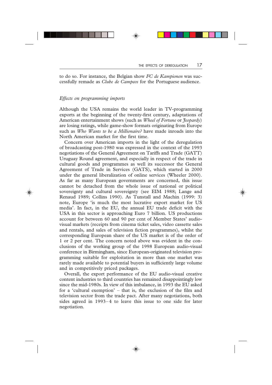to do so. For instance, the Belgian show *FC de Kampionen* was successfully remade as *Clube de Campeos* for the Portuguese audience.

# *Effects on programming imports*

Although the USA remains the world leader in TV-programming exports at the beginning of the twenty-first century, adaptations of American entertainment shows (such as *Wheel of Fortune* or *Jeopardy*) are losing ratings, while game-show formats originating from Europe such as *Who Wants to be a Millionaire?* have made inroads into the North American market for the first time.

Concern over American imports in the light of the deregulation of broadcasting post-1980 was expressed in the context of the 1993 negotiations of the General Agreement on Tariffs and Trade (GATT) Uruguay Round agreement, and especially in respect of the trade in cultural goods and programmes as well its successor the General Agreement of Trade in Services (GATS), which started in 2000 under the general liberalization of online services (Wheeler 2000). As far as many European governments are concerned, this issue cannot be detached from the whole issue of national or political sovereignty and cultural sovereignty (see EIM 1988; Lange and Renaud 1989; Collins 1990). As Tunstall and Machin (1999: 3) note, Europe 'is much the most lucrative export market for US media'. In fact, in the EU, the annual EU trade deficit with the USA in this sector is approaching Euro 7 billion. US productions account for between 60 and 90 per cent of Member States' audiovisual markets (receipts from cinema ticket sales, video cassette sales and rentals, and sales of television fiction programmes), whilst the corresponding European share of the US market is of the order of 1 or 2 per cent. The concern noted above was evident in the conclusions of the working group of the 1998 European audio-visual conference in Birmingham, since European-originated television programming suitable for exploitation in more than one market was rarely made available to potential buyers in sufficiently large volume and in competitively priced packages.

Overall, the export performance of the EU audio-visual creative content industries to third countries has remained disappointingly low since the mid-1980s. In view of this imbalance, in 1993 the EU asked for a 'cultural exemption' – that is, the exclusion of the film and television sector from the trade pact. After many negotiations, both sides agreed in 1993–4 to leave this issue to one side for later negotiation.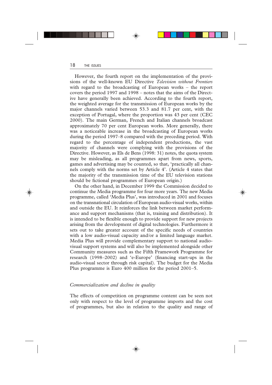However, the fourth report on the implementation of the provisions of the well-known EU Directive *Television without Frontiers* with regard to the broadcasting of European works – the report covers the period 1997 and 1998 – notes that the aims of the Directive have generally been achieved. According to the fourth report, the weighted average for the transmission of European works by the major channels varied between 53.3 and 81.7 per cent, with the exception of Portugal, where the proportion was 43 per cent (CEC 2000). The main German, French and Italian channels broadcast approximately 70 per cent European works. More generally, there was a noticeable increase in the broadcasting of European works during the period 1997–8 compared with the preceding period. With regard to the percentage of independent productions, the vast majority of channels were complying with the provisions of the Directive. However, as Els de Bens (1998: 31) notes, the quota system may be misleading, as all programmes apart from news, sports, games and advertising may be counted, so that, 'practically all channels comply with the norms set by Article 4'. (Article 4 states that the majority of the transmission time of the EU television stations should be fictional programmes of European origin.)

On the other hand, in December 1999 the Commission decided to continue the Media programme for four more years. The new Media programme, called 'Media Plus', was introduced in 2001 and focuses on the transnational circulation of European audio-visual works, within and outside the EU. It reinforces the link between market performance and support mechanisms (that is, training and distribution). It is intended to be flexible enough to provide support for new projects arising from the development of digital technologies. Furthermore it sets out to take greater account of the specific needs of countries with a low audio-visual capacity and/or a limited language market. Media Plus will provide complementary support to national audiovisual support systems and will also be implemented alongside other Community measures such as the Fifth Framework Programme for research (1998–2002) and 'e-Europe' (financing start-ups in the audio-visual sector through risk capital). The budget for the Media Plus programme is Euro 400 million for the period 2001–5.

## *Commercialization and decline in quality*

The effects of competition on programme content can be seen not only with respect to the level of programme imports and the cost of programmes, but also in relation to the quality and range of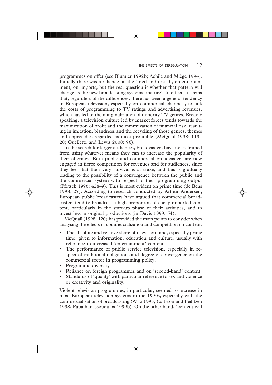programmes on offer (see Blumler 1992b; Achile and Miège 1994). Initially there was a reliance on the 'tried and tested', on entertainment, on imports, but the real question is whether that pattern will change as the new broadcasting systems 'mature'. In effect, it seems that, regardless of the differences, there has been a general tendency in European television, especially on commercial channels, to link the costs of programming to TV ratings and advertising revenues, which has led to the marginalization of minority TV genres. Broadly speaking, a television culture led by market forces tends towards the maximization of profit and the minimization of financial risk, resulting in imitation, blandness and the recycling of those genres, themes and approaches regarded as most profitable (McQuail 1998: 119– 20; Ouellette and Lewis 2000: 96).

In the search for larger audiences, broadcasters have not refrained from using whatever means they can to increase the popularity of their offerings. Both public and commercial broadcasters are now engaged in fierce competition for revenues and for audiences, since they feel that their very survival is at stake, and this is gradually leading to the possibility of a convergence between the public and the commercial system with respect to their programming output (Pfetsch 1996: 428–9). This is most evident on prime time (de Bens 1998: 27). According to research conducted by Arthur Andersen, European public broadcasters have argued that commercial broadcasters tend to broadcast a high proportion of cheap imported content, particularly in the start-up phase of their activities, and to invest less in original productions (in Davis 1999: 54).

McQuail (1998: 120) has provided the main points to consider when analysing the effects of commercialization and competition on content.

- The absolute and relative share of television time, especially prime time, given to information, education and culture, usually with reference to increased 'entertainment' content.
- The performance of public service television, especially in respect of traditional obligations and degree of convergence on the commercial sector in programming policy.
- Programme diversity.
- Reliance on foreign programmes and on 'second-hand' content.
- Standards of 'quality' with particular reference to sex and violence or creativity and originality.

Violent television programmes, in particular, seemed to increase in most European television systems in the 1990s, especially with the commercialization of broadcasting (Wiio 1995; Carlsson and Feilitzen 1998; Papathanassopoulos 1999b). On the other hand, 'content will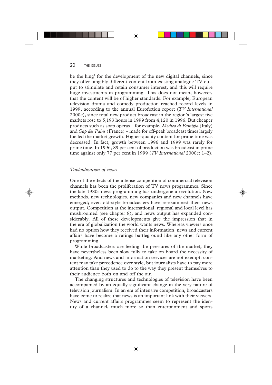be the king' for the development of the new digital channels, since they offer tangibly different content from existing analogue TV output to stimulate and retain consumer interest, and this will require huge investments in programming. This does not mean, however, that the content will be of higher standards. For example, European television drama and comedy production reached record levels in 1999, according to the annual Eurofiction report (*TV International* 2000e), since total new product broadcast in the region's largest five markets rose to 5,193 hours in 1999 from 4,120 in 1996. But cheaper products such as soap operas – for example, *Medico di Famigla* (Italy) and *Cap des Pains* (France) – made for off-peak broadcast times largely fuelled the market growth. Higher-quality content for prime time was decreased. In fact, growth between 1996 and 1999 was rarely for prime time. In 1996, 89 per cent of production was broadcast in prime time against only 77 per cent in 1999 (*TV International* 2000e: 1–2).

#### *Tabloidization of news*

One of the effects of the intense competition of commercial television channels has been the proliferation of TV news programmes. Since the late 1980s news programming has undergone a revolution. New methods, new technologies, new companies and new channels have emerged; even old-style broadcasters have re-examined their news output. Competition at the international, regional and local level has mushroomed (see chapter 8), and news output has expanded considerably. All of these developments give the impression that in the era of globalization the world wants news. Whereas viewers once had no option how they received their information, news and current affairs have become a ratings battleground like any other form of programming.

While broadcasters are feeling the pressures of the market, they have nevertheless been slow fully to take on board the necessity of marketing. And news and information services are not exempt: content may take precedence over style, but journalists have to pay more attention than they used to do to the way they present themselves to their audience both on and off the air.

The changing structures and technologies of television have been accompanied by an equally significant change in the very nature of television journalism. In an era of intensive competition, broadcasters have come to realize that news is an important link with their viewers. News and current affairs programmes seem to represent the identity of a channel, much more so than entertainment and sports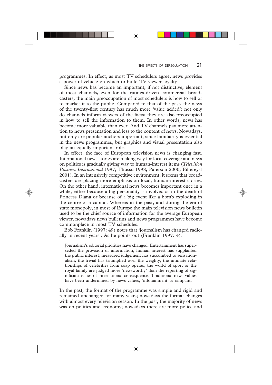programmes. In effect, as most TV schedulers agree, news provides a powerful vehicle on which to build TV viewer loyalty.

Since news has become an important, if not distinctive, element of most channels, even for the ratings-driven commercial broadcasters, the main preoccupation of most schedulers is how to sell or to market it to the public. Compared to that of the past, the news of the twenty-first century has much more 'value added': not only do channels inform viewers of the facts; they are also preoccupied in how to sell the information to them. In other words, news has become more valuable than ever. And TV channels pay more attention to news presentation and less to the content of news. Nowadays, not only are popular anchors important, since familiarity is essential in the news programmes, but graphics and visual presentation also play an equally important role.

In effect, the face of European television news is changing fast. International news stories are making way for local coverage and news on politics is gradually giving way to human-interest items (*Television Business International* 1997; Thussu 1998; Paterson 2000; Biltereyst 2001). In an intensively competitive environment, it seems that broadcasters are placing more emphasis on local, human-interest stories. On the other hand, international news becomes important once in a while, either because a big personality is involved as in the death of Princess Diana or because of a big event like a bomb exploding in the centre of a capital. Whereas in the past, and during the era of state monopoly, in most of Europe the main television news bulletin used to be the chief source of information for the average European viewer, nowadays news bulletins and news programmes have become commonplace in most TV schedules.

Bob Franklin (1997: 49) notes that 'journalism has changed radically in recent years'. As he points out (Franklin 1997: 4):

Journalism's editorial priorities have changed. Entertainment has superseded the provision of information; human interest has supplanted the public interest; measured judgement has succumbed to sensationalism; the trivial has triumphed over the weighty; the intimate relationships of celebrities from soap operas, the world of sport or the royal family are judged more 'newsworthy' than the reporting of significant issues of international consequence. Traditional news values have been undermined by news values; 'infotainment' is rampant.

In the past, the format of the programme was simple and rigid and remained unchanged for many years; nowadays the format changes with almost every television season. In the past, the majority of news was on politics and economy; nowadays there are more police and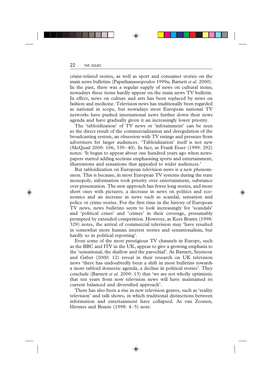crime-related stories, as well as sport and consumer stories on the main news bulletins (Papathanassopoulos 1999a; Barnett *et al.* 2000). In the past, there was a regular supply of news on cultural items; nowadays these items hardly appear on the main news TV bulletin. In effect, news on culture and arts has been replaced by news on fashion and medicine. Television news has traditionally been regarded as national in scope, but nowadays most European national TV networks have pushed international news further down their news agenda and have gradually given it an increasingly lower priority.

The 'tabloidization' of TV news or 'infotainment' can be seen as the direct result of the commercialization and deregulation of the broadcasting system, an obsession with TV ratings and pressure from advertisers for larger audiences. 'Tabloidization' itself is not new (McQuail 2000: 106, 339–40). In fact, as Frank Esser (1999: 292) notes: 'It began to appear about one hundred years ago when newspapers started adding sections emphasising sports and entertainment, illustrations and sensations that appealed to wider audiences.'

But tabloidization on European television news is a new phenomenon. This is because, in most European TV systems during the state monopoly, information took priority over entertainment, substance over presentation. The new approach has fewer long stories, and more short ones with pictures; a decrease in news on politics and economics and an increase in news such as scandal, sensation and police or crime stories. For the first time in the history of European TV news, news bulletins seem to look increasingly for 'scandals' and 'political crises' and 'crimes' in their coverage, presumably prompted by extended competition. However, as Kees Brants (1998: 329) notes, the arrival of commercial television may 'have resulted in somewhat more human interest stories and sensationalism, but hardly so in political reporting'.

Even some of the most prestigious TV channels in Europe, such as the BBC and ITV in the UK, appear to give a growing emphasis to the 'sensational, the shallow and the parochial'. As Barnett, Seymour and Gaber (2000: 12) reveal in their research on UK television news 'there has undoubtedly been a shift in most bulletins towards a more tabloid domestic agenda, a decline in political stories'. They conclude (Barnett *et al.* 2000: 13) that 'we are not wholly optimistic that ten years from now television news will have maintained its current balanced and diversified approach'.

There has also been a rise in new television genres, such as 'reality television' and talk shows, in which traditional distinctions between information and entertainment have collapsed. As van Zoonen, Hermes and Brants (1998: 4–5) note: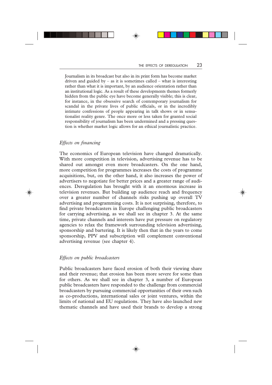Journalism in its broadcast but also in its print form has become market driven and guided by – as it is sometimes called – what is interesting rather than what it is important, by an audience orientation rather than an institutional logic. As a result of these developments themes formerly hidden from the public eye have become generally visible; this is clear, for instance, in the obsessive search of contemporary journalism for scandal in the private lives of public officials, or in the incredibly intimate confessions of people appearing in talk shows or in sensationalist reality genre. The once more or less taken for granted social responsibility of journalism has been undermined and a pressing question is whether market logic allows for an ethical journalistic practice.

#### *Effects on financing*

The economics of European television have changed dramatically. With more competition in television, advertising revenue has to be shared out amongst even more broadcasters. On the one hand, more competition for programmes increases the costs of programme acquisitions, but, on the other hand, it also increases the power of advertisers to negotiate for better prices and a greater range of audiences. Deregulation has brought with it an enormous increase in television revenues. But building up audience reach and frequency over a greater number of channels risks pushing up overall TV advertising and programming costs. It is not surprising, therefore, to find private broadcasters in Europe challenging public broadcasters for carrying advertising, as we shall see in chapter 3. At the same time, private channels and interests have put pressure on regulatory agencies to relax the framework surrounding television advertising, sponsorship and bartering. It is likely then that in the years to come sponsorship, PPV and subscription will complement conventional advertising revenue (see chapter 4).

#### *Effects on public broadcasters*

Public broadcasters have faced erosion of both their viewing share and their revenue; that erosion has been more severe for some than for others. As we shall see in chapter 3, a number of European public broadcasters have responded to the challenge from commercial broadcasters by pursuing commercial opportunities of their own such as co-productions, international sales or joint ventures, within the limits of national and EU regulations. They have also launched new thematic channels and have used their brands to develop a strong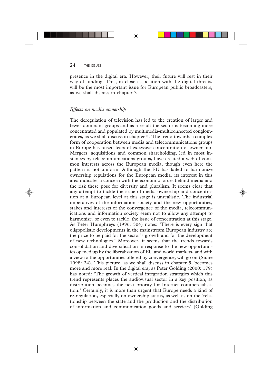presence in the digital era. However, their future will rest in their way of funding. This, in close association with the digital threats, will be the most important issue for European public broadcasters, as we shall discuss in chapter 3.

#### *Effects on media ownership*

The deregulation of television has led to the creation of larger and fewer dominant groups and as a result the sector is becoming more concentrated and populated by multimedia-multiconnected conglomerates, as we shall discuss in chapter 5. The trend towards a complex form of cooperation between media and telecommunications groups in Europe has raised fears of excessive concentration of ownership. Mergers, acquisitions and common shareholding, led in most instances by telecommunications groups, have created a web of common interests across the European media, though even here the pattern is not uniform. Although the EU has failed to harmonize ownership regulations for the European media, its interest in this area indicates a concern with the economic forces behind media and the risk these pose for diversity and pluralism. It seems clear that any attempt to tackle the issue of media ownership and concentration at a European level at this stage is unrealistic. The industrial imperatives of the information society and the new opportunities, stakes and interests of the convergence of the media, telecommunications and information society seem not to allow any attempt to harmonize, or even to tackle, the issue of concentration at this stage. As Peter Humphreys (1996: 304) notes: 'There is every sign that oligopolistic developments in the mainstream European industry are the price to be paid for the sector's growth and for the development of new technologies.' Moreover, it seems that the trends towards consolidation and diversification in response to the new opportunities opened up by the liberalization of EU and world markets, and with a view to the opportunities offered by convergence, will go on (Siune 1998: 24). This picture, as we shall discuss in chapter 5, becomes more and more real. In the digital era, as Peter Golding (2000: 179) has noted: 'The growth of vertical integration strategies which this trend represents places the audiovisual sector in a key position, as distribution becomes the next priority for Internet commercialisation.' Certainly, it is more than urgent that Europe needs a kind of re-regulation, especially on ownership status, as well as on the 'relationship between the state and the production and the distribution of information and communication goods and services' (Golding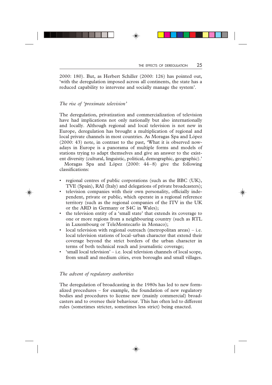2000: 180). But, as Herbert Schiller (2000: 126) has pointed out, 'with the deregulation imposed across all continents, the state has a reduced capability to intervene and socially manage the system'.

#### *The rise of 'proximate television'*

The deregulation, privatization and commercialization of television have had implications not only nationally but also internationally and locally. Although regional and local television is not new in Europe, deregulation has brought a multiplication of regional and local private channels in most countries. As Moragas Spa and López (2000: 43) note, in contrast to the past, 'What it is observed nowadays in Europe is a panorama of multiple forms and models of stations trying to adapt themselves and give an answer to the existent diversity (cultural, linguistic, political, demographic, geographic).'

Moragas Spa and López (2000: 44–8) give the following classifications:

- regional centres of public corporations (such as the BBC (UK), TVE (Spain), RAI (Italy) and delegations of private broadcasters);
- television companies with their own personality, officially independent, private or public, which operate in a regional reference territory (such as the regional companies of the ITV in the UK or the ARD in Germany or S4C in Wales);
- the television entity of a 'small state' that extends its coverage to one or more regions from a neighbouring country (such as RTL in Luxembourg or TeleMontecarlo in Monaco);
- local television with regional outreach (metropolitan areas)  $-$  i.e. local television stations of local–urban character that extend their coverage beyond the strict borders of the urban character in terms of both technical reach and journalistic coverage;
- 'small local television' i.e. local television channels of local scope, from small and medium cities, even boroughs and small villages.

### *The advent of regulatory authorities*

The deregulation of broadcasting in the 1980s has led to new formalized procedures – for example, the foundation of new regulatory bodies and procedures to license new (mainly commercial) broadcasters and to oversee their behaviour. This has often led to different rules (sometimes stricter, sometimes less strict) being enacted.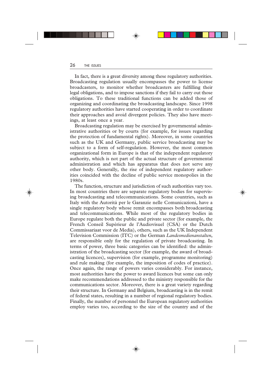In fact, there is a great diversity among these regulatory authorities. Broadcasting regulation usually encompasses the power to license broadcasters, to monitor whether broadcasters are fulfilling their legal obligations, and to impose sanctions if they fail to carry out those obligations. To these traditional functions can be added those of organizing and coordinating the broadcasting landscape. Since 1998 regulatory authorities have started cooperating in order to coordinate their approaches and avoid divergent policies. They also have meetings, at least once a year.

Broadcasting regulation may be exercised by governmental administrative authorities or by courts (for example, for issues regarding the protection of fundamental rights). Moreover, in some countries such as the UK and Germany, public service broadcasting may be subject to a form of self-regulation. However, the most common organizational form in Europe is that of the independent regulatory authority, which is not part of the actual structure of governmental administration and which has apparatus that does not serve any other body. Generally, the rise of independent regulatory authorities coincided with the decline of public service monopolies in the 1980s.

The function, structure and jurisdiction of such authorities vary too. In most countries there are separate regulatory bodies for supervising broadcasting and telecommunications. Some countries, such as Italy with the Autorità per le Garanzie nelle Comunicazioni, have a single regulatory body whose remit encompasses both broadcasting and telecommunications. While most of the regulatory bodies in Europe regulate both the public and private sector (for example, the French Conseil Supérieur de l'Audiovisuel (CSA) or the Dutch Commissariaat voor de Media), others, such as the UK Independent Television Commission (ITC) or the German *Landesmedienanstalten*, are responsible only for the regulation of private broadcasting. In terms of power, three basic categories can be identified: the administration of the broadcasting sector (for example, the award of broadcasting licences), supervision (for example, programme monitoring) and rule making (for example, the imposition of codes of practice). Once again, the range of powers varies considerably. For instance, most authorities have the power to award licences but some can only make recommendations addressed to the ministry responsible for the communications sector. Moreover, there is a great variety regarding their structure. In Germany and Belgium, broadcasting is in the remit of federal states, resulting in a number of regional regulatory bodies. Finally, the number of personnel the European regulatory authorities employ varies too, according to the size of the country and of the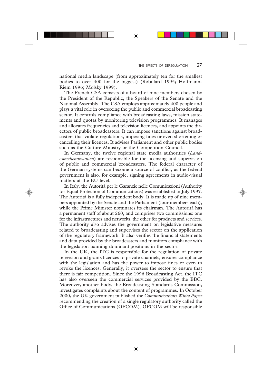national media landscape (from approximately ten for the smallest bodies to over 400 for the biggest) (Robillard 1995; Hoffmann-Riem 1996; Molsky 1999).

The French CSA consists of a board of nine members chosen by the President of the Republic, the Speakers of the Senate and the National Assembly. The CSA employs approximately 400 people and plays a vital role in overseeing the public and commercial broadcasting sector. It controls compliance with broadcasting laws, mission statements and quotas by monitoring television programmes. It manages and allocates frequencies and television licences, and appoints the directors of public broadcasters. It can impose sanctions against broadcasters that violate regulations, imposing fines or even shortening or cancelling their licences. It advises Parliament and other public bodies such as the Culture Ministry or the Competition Council.

In Germany, the twelve regional state media authorities (*Landesmedienanstalten*) are responsible for the licensing and supervision of public and commercial broadcasters. The federal character of the German systems can become a source of conflict, as the federal government is also, for example, signing agreements in audio-visual matters at the EU level.

In Italy, the Autorità per le Garanzie nelle Comunicazioni (Authority for Equal Protection of Communications) was established in July 1997. The Autorità is a fully independent body. It is made up of nine members appointed by the Senate and the Parliament (four members each), while the Prime Minister nominates its chairman. The Autorità has a permanent staff of about 260, and comprises two commissions: one for the infrastructures and networks, the other for products and services. The authority also advises the government on legislative measures related to broadcasting and supervises the sector on the application of the regulatory framework. It also verifies the financial statements and data provided by the broadcasters and monitors compliance with the legislation banning dominant positions in the sector.

In the UK, the ITC is responsible for the regulation of private television and grants licences to private channels, ensures compliance with the legislation and has the power to impose fines or even to revoke the licences. Generally, it oversees the sector to ensure that there is fair competition. Since the 1996 Broadcasting Act, the ITC has also overseen the commercial services provided by the BBC. Moreover, another body, the Broadcasting Standards Commission, investigates complaints about the content of programmes. In October 2000, the UK government published the *Communications White Paper* recommending the creation of a single regulatory authority called the Office of Communications (OFCOM). OFCOM will be responsible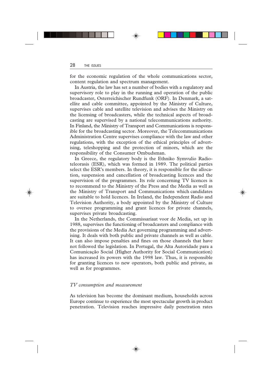for the economic regulation of the whole communications sector, content regulation and spectrum management.

In Austria, the law has set a number of bodies with a regulatory and supervisory role to play in the running and operation of the public broadcaster, Osterreichischer Rundfunk (ORF). In Denmark, a satellite and cable committee, appointed by the Ministry of Culture, supervises cable and satellite television and advises the Ministry on the licensing of broadcasters, while the technical aspects of broadcasting are supervised by a national telecommunications authority. In Finland, the Ministry of Transport and Communications is responsible for the broadcasting sector. Moreover, the Telecommunications Administration Centre supervises compliance with the law and other regulations, with the exception of the ethical principles of advertising, teleshopping and the protection of minors, which are the responsibility of the Consumer Ombudsman.

In Greece, the regulatory body is the Ethniko Symvulio Radioteleorasis (ESR), which was formed in 1989. The political parties select the ESR's members. In theory, it is responsible for the allocation, suspension and cancellation of broadcasting licences and the supervision of the programmes. Its role concerning TV licences is to recommend to the Ministry of the Press and the Media as well as the Ministry of Transport and Communications which candidates are suitable to hold licences. In Ireland, the Independent Radio and Television Authority, a body appointed by the Ministry of Culture to oversee programming and grant licences for private channels, supervises private broadcasting.

In the Netherlands, the Commissariaat voor de Media, set up in 1988, supervises the functioning of broadcasters and compliance with the provisions of the Media Act governing programming and advertising. It deals with both public and private channels as well as cable. It can also impose penalties and fines on those channels that have not followed the legislation. In Portugal, the Alta Autoridade para a Comunicação Social (Higher Authority for Social Communication) has increased its powers with the 1998 law. Thus, it is responsible for granting licences to new operators, both public and private, as well as for programmes.

#### *TV consumption and measurement*

As television has become the dominant medium, households across Europe continue to experience the most spectacular growth in product penetration. Television reaches impressive daily penetration rates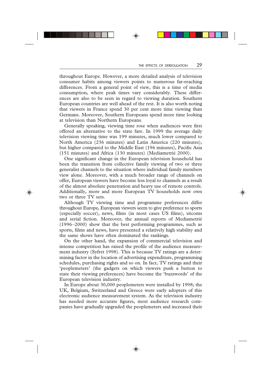throughout Europe. However, a more detailed analysis of television consumer habits among viewers points to numerous far-reaching differences. From a general point of view, this is a time of media consumption, where peak times vary considerably. These differences are also to be seen in regard to viewing duration. Southern European countries are well ahead of the rest. It is also worth noting that viewers in France spend 30 per cent more time viewing than Germans. Moreover, Southern Europeans spend more time looking at television than Northern Europeans.

Generally speaking, viewing time rose when audiences were first offered an alternative to the state fare. In 1999 the average daily television viewing time was 199 minutes, much lower compared to North America (236 minutes) and Latin America (220 minutes), but higher compared to the Middle East (196 minutes), Pacific Asia (151 minutes) and Africa (130 minutes) (Mediametrié 2000).

One significant change in the European television household has been the transition from collective family viewing of two or three generalist channels to the situation where individual family members view alone. Moreover, with a much broader range of channels on offer, European viewers have become less loyal to channels as a result of the almost absolute penetration and heavy use of remote controls. Additionally, more and more European TV households now own two or three TV sets.

Although TV viewing time and programme preferences differ throughout Europe, European viewers seem to give preference to sports (especially soccer), news, films (in most cases US films), sitcoms and serial fiction. Moreover, the annual reports of Mediametrié (1996–2000) show that the best performing programmes, such as sports, films and news, have presented a relatively high stability and the same shows have often dominated the rankings.

On the other hand, the expansion of commercial television and intense competition has raised the profile of the audience measurement industry (Syfret 1998). This is because TV ratings are a determining factor in the location of advertising expenditure, programming schedules, purchasing rights and so on. In fact, TV ratings and their 'peoplemeters' (the gadgets on which viewers push a button to state their viewing preferences) have become the 'buzzwords' of the European television industry.

In Europe about 30,000 peoplemeters were installed by 1998; the UK, Belgium, Switzerland and Greece were early adopters of this electronic audience measurement system. As the television industry has needed more accurate figures, most audience research companies have gradually upgraded the peoplemeters and increased their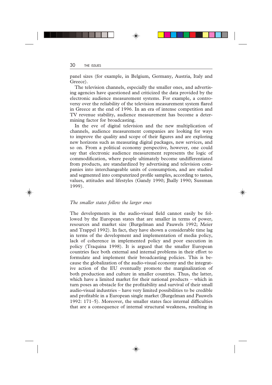panel sizes (for example, in Belgium, Germany, Austria, Italy and Greece).

The television channels, especially the smaller ones, and advertising agencies have questioned and criticized the data provided by the electronic audience measurement systems. For example, a controversy over the reliability of the television measurement system flared in Greece at the end of 1996. In an era of intense competition and TV revenue stability, audience measurement has become a determining factor for broadcasting.

In the eve of digital television and the new multiplication of channels, audience measurement companies are looking for ways to improve the quality and scope of their figures and are exploring new horizons such as measuring digital packages, new services, and so on. From a political economy perspective, however, one could say that electronic audience measurement represents the logic of commodification, where people ultimately become undifferentiated from products, are standardized by advertising and television companies into interchangeable units of consumption, and are studied and segmented into computerized profile samples, according to tastes, values, attitudes and lifestyles (Gandy 1990; Jhally 1990; Sussman 1999).

#### *The smaller states follow the larger ones*

The developments in the audio-visual field cannot easily be followed by the European states that are smaller in terms of power, resources and market size (Burgelman and Pauwels 1992; Meier and Trappel 1992). In fact, they have shown a considerable time lag in terms of the development and implementation of media policy, lack of coherence in implemented policy and poor execution in policy (Traquina 1998). It is argued that the smaller European countries face both external and internal problems in their effort to formulate and implement their broadcasting policies. This is because the globalization of the audio-visual economy and the integrative action of the EU eventually promote the marginalization of both production and culture in smaller countries. Thus, the latter, which have a limited market for their national products – which in turn poses an obstacle for the profitability and survival of their small audio-visual industries – have very limited possibilities to be credible and profitable in a European single market (Burgelman and Pauwels 1992: 171–5). Moreover, the smaller states face internal difficulties that are a consequence of internal structural weakness, resulting in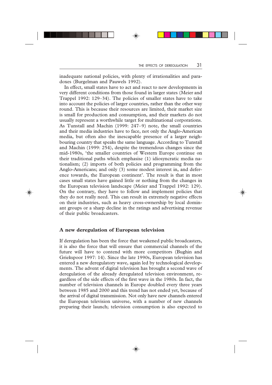inadequate national policies, with plenty of irrationalities and paradoxes (Burgelman and Pauwels 1992).

In effect, small states have to act and react to new developments in very different conditions from those found in larger states (Meier and Trappel 1992: 129–34). The policies of smaller states have to take into account the policies of larger countries, rather than the other way round. This is because their resources are limited, their market size is small for production and consumption, and their markets do not usually represent a worthwhile target for multinational corporations. As Tunstall and Machin (1999: 247–9) note, the small countries and their media industries have to face, not only the Anglo-American media, but often also the inescapable presence of a larger neighbouring country that speaks the same language. According to Tunstall and Machin (1999: 254), despite the tremendous changes since the mid-1980s, 'the smaller countries of Western Europe continue on their traditional paths which emphasise (1) idiosyncratic media nationalism; (2) imports of both policies and programming from the Anglo-Americans; and only (3) some modest interest in, and deference towards, the European continent'. The result is that in most cases small states have gained little or nothing from the changes in the European television landscape (Meier and Trappel 1992: 129). On the contrary, they have to follow and implement policies that they do not really need. This can result in extremely negative effects on their industries, such as heavy cross-ownership by local dominant groups or a sharp decline in the ratings and advertising revenue of their public broadcasters.

#### **A new deregulation of European television**

If deregulation has been the force that weakened public broadcasters, it is also the force that will ensure that commercial channels of the future will have to contend with more competitors (Bughin and Griekspoor 1997: 14). Since the late 1990s, European television has entered a new deregulatory wave, again led by technological developments. The advent of digital television has brought a second wave of deregulation of the already deregulated television environment, regardless of the side effects of the first wave in the 1980s. In fact, the number of television channels in Europe doubled every three years between 1985 and 2000 and this trend has not ended yet, because of the arrival of digital transmission. Not only have new channels entered the European television universe, with a number of new channels preparing their launch; television consumption is also expected to